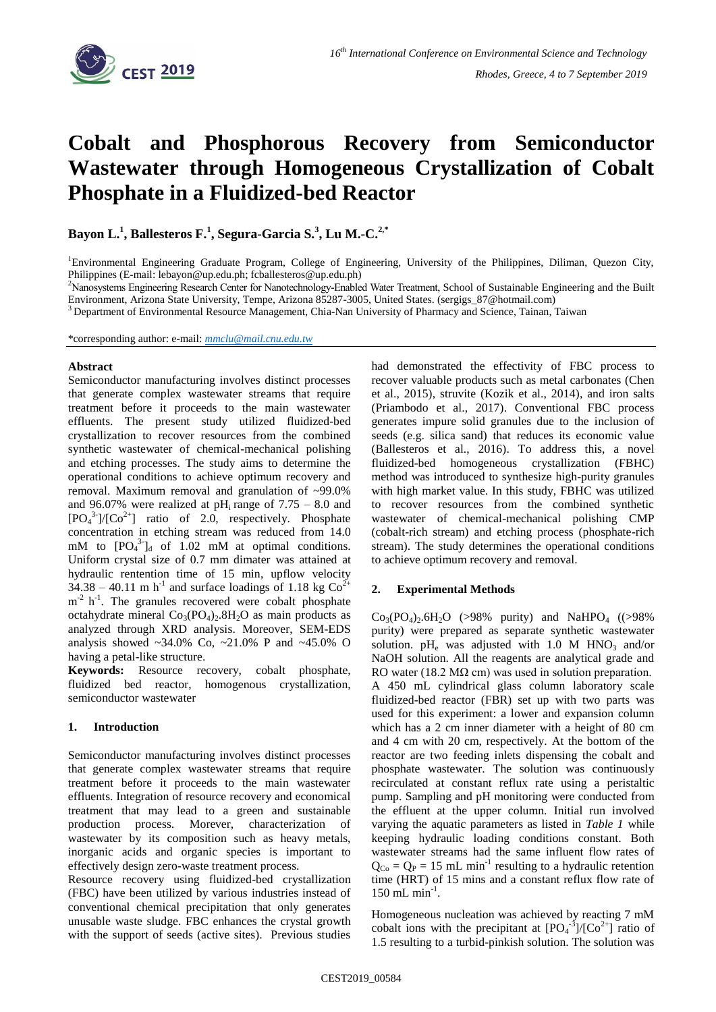

# **Cobalt and Phosphorous Recovery from Semiconductor Wastewater through Homogeneous Crystallization of Cobalt Phosphate in a Fluidized-bed Reactor**

**Bayon L.<sup>1</sup> , Ballesteros F.<sup>1</sup> , Segura-Garcia S.<sup>3</sup> , Lu M.-C.2,\***

<sup>1</sup>Environmental Engineering Graduate Program, College of Engineering, University of the Philippines, Diliman, Quezon City, Philippines (E-mail: lebayon@up.edu.ph; fcballesteros@up.edu.ph)

<sup>2</sup>Nanosystems Engineering Research Center for Nanotechnology-Enabled Water Treatment, School of Sustainable Engineering and the Built Environment, Arizona State University, Tempe, Arizona 85287-3005, United States. (sergigs\_87@hotmail.com)

<sup>3</sup> Department of Environmental Resource Management, Chia-Nan University of Pharmacy and Science, Tainan, Taiwan

\*corresponding author: e-mail: *[mmclu@mail.cnu.edu.tw](mailto:mmclu@mail.cnu.edu.tw)*

### **Abstract**

Semiconductor manufacturing involves distinct processes that generate complex wastewater streams that require treatment before it proceeds to the main wastewater effluents. The present study utilized fluidized-bed crystallization to recover resources from the combined synthetic wastewater of chemical-mechanical polishing and etching processes. The study aims to determine the operational conditions to achieve optimum recovery and removal. Maximum removal and granulation of ~99.0% and 96.07% were realized at  $pH_i$  range of 7.75 – 8.0 and  $[PO<sub>4</sub><sup>3</sup>]/[Co<sup>2+</sup>]$  ratio of 2.0, respectively. Phosphate concentration in etching stream was reduced from 14.0 mM to  $[PO_4^{3}]_d$  of 1.02 mM at optimal conditions. Uniform crystal size of 0.7 mm dimater was attained at hydraulic rentention time of 15 min, upflow velocity  $34.38 - 40.11$  m h<sup>-1</sup> and surface loadings of 1.18 kg Co<sup>2+</sup> m<sup>-2</sup> h<sup>-1</sup>. The granules recovered were cobalt phosphate octahydrate mineral  $Co<sub>3</sub>(PO<sub>4</sub>)<sub>2</sub>$ .8H<sub>2</sub>O as main products as analyzed through XRD analysis. Moreover, SEM-EDS analysis showed  $\sim$ 34.0% Co,  $\sim$ 21.0% P and  $\sim$ 45.0% O having a petal-like structure.

**Keywords:** Resource recovery, cobalt phosphate, fluidized bed reactor, homogenous crystallization, semiconductor wastewater

### **1. Introduction**

Semiconductor manufacturing involves distinct processes that generate complex wastewater streams that require treatment before it proceeds to the main wastewater effluents. Integration of resource recovery and economical treatment that may lead to a green and sustainable production process. Morever, characterization of wastewater by its composition such as heavy metals, inorganic acids and organic species is important to effectively design zero-waste treatment process.

Resource recovery using fluidized-bed crystallization (FBC) have been utilized by various industries instead of conventional chemical precipitation that only generates unusable waste sludge. FBC enhances the crystal growth with the support of seeds (active sites). Previous studies had demonstrated the effectivity of FBC process to recover valuable products such as metal carbonates (Chen et al., 2015), struvite (Kozik et al., 2014), and iron salts (Priambodo et al., 2017). Conventional FBC process generates impure solid granules due to the inclusion of seeds (e.g. silica sand) that reduces its economic value (Ballesteros et al., 2016). To address this, a novel fluidized-bed homogeneous crystallization (FBHC) method was introduced to synthesize high-purity granules with high market value. In this study, FBHC was utilized to recover resources from the combined synthetic wastewater of chemical-mechanical polishing CMP (cobalt-rich stream) and etching process (phosphate-rich stream). The study determines the operational conditions to achieve optimum recovery and removal.

### **2. Experimental Methods**

 $Co_3(PO_4)_{2.6}H_2O$  (>98% purity) and NaHPO<sub>4</sub> ((>98%) purity) were prepared as separate synthetic wastewater solution.  $pH_e$  was adjusted with 1.0 M HNO<sub>3</sub> and/or NaOH solution. All the reagents are analytical grade and RO water (18.2 M $\Omega$  cm) was used in solution preparation. A 450 mL cylindrical glass column laboratory scale fluidized-bed reactor (FBR) set up with two parts was used for this experiment: a lower and expansion column which has a 2 cm inner diameter with a height of 80 cm and 4 cm with 20 cm, respectively. At the bottom of the reactor are two feeding inlets dispensing the cobalt and phosphate wastewater. The solution was continuously recirculated at constant reflux rate using a peristaltic pump. Sampling and pH monitoring were conducted from the effluent at the upper column. Initial run involved varying the aquatic parameters as listed in *Table 1* while keeping hydraulic loading conditions constant. Both wastewater streams had the same influent flow rates of  $Q_{\text{Co}} = Q_{\text{P}} = 15 \text{ mL min}^{-1}$  resulting to a hydraulic retention time (HRT) of 15 mins and a constant reflux flow rate of 150 mL min-1 .

Homogeneous nucleation was achieved by reacting 7 mM cobalt ions with the precipitant at  $[PO<sub>4</sub><sup>-3</sup>]/[Co<sup>2+</sup>]$  ratio of 1.5 resulting to a turbid-pinkish solution. The solution was